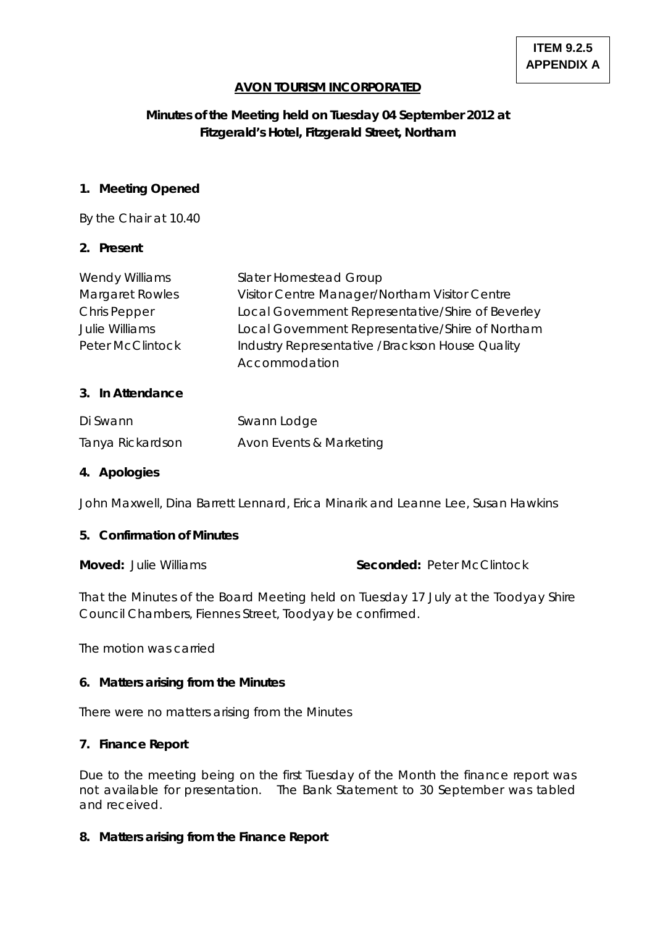## **AVON TOURISM INCORPORATED**

# **Minutes of the Meeting held on Tuesday 04 September 2012 at Fitzgerald's Hotel, Fitzgerald Street, Northam**

#### **1. Meeting Opened**

By the Chair at 10.40

### **2. Present**

| Wendy Williams          | Slater Homestead Group                            |
|-------------------------|---------------------------------------------------|
| <b>Margaret Rowles</b>  | Visitor Centre Manager/Northam Visitor Centre     |
| <b>Chris Pepper</b>     | Local Government Representative/Shire of Beverley |
| <b>Julie Williams</b>   | Local Government Representative/Shire of Northam  |
| <b>Peter McClintock</b> | Industry Representative / Brackson House Quality  |
|                         | Accommodation                                     |

#### **3. In Attendance**

| Di Swann         | Swann Lodge             |
|------------------|-------------------------|
| Tanya Rickardson | Avon Events & Marketing |

## **4. Apologies**

John Maxwell, Dina Barrett Lennard, Erica Minarik and Leanne Lee, Susan Hawkins

#### **5. Confirmation of Minutes**

**Moved:** Julie Williams **Seconded:** Peter McClintock

That the Minutes of the Board Meeting held on Tuesday 17 July at the Toodyay Shire Council Chambers, Fiennes Street, Toodyay be confirmed.

The motion was carried

## **6. Matters arising from the Minutes**

There were no matters arising from the Minutes

#### **7. Finance Report**

Due to the meeting being on the first Tuesday of the Month the finance report was not available for presentation. The Bank Statement to 30 September was tabled and received.

#### **8. Matters arising from the Finance Report**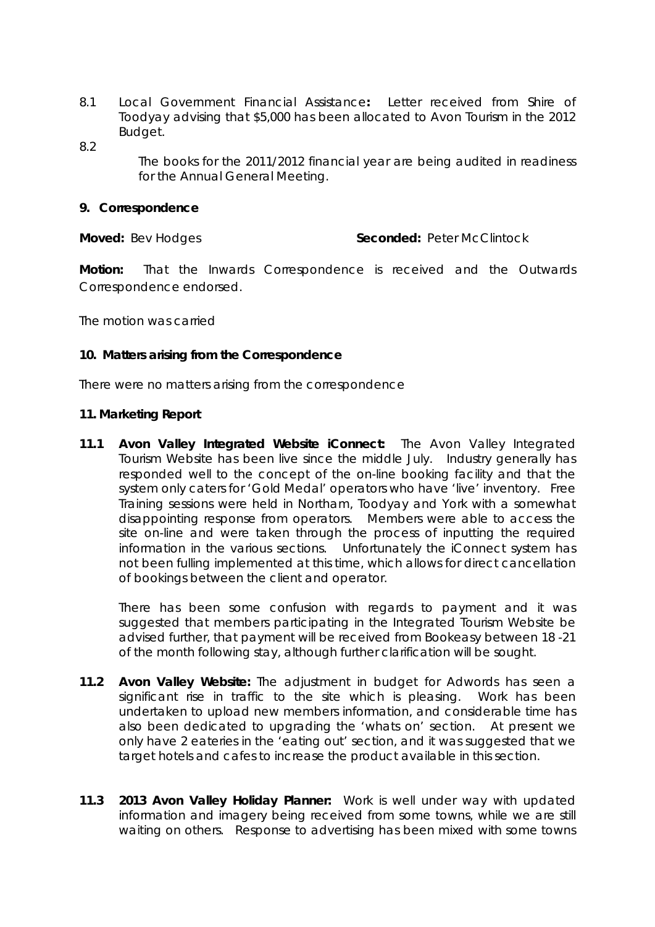- 8.1 Local Government Financial Assistance**:** Letter received from Shire of Toodyay advising that \$5,000 has been allocated to Avon Tourism in the 2012 Budget.
- 8.2

The books for the 2011/2012 financial year are being audited in readiness for the Annual General Meeting.

#### **9. Correspondence**

**Moved: Bev Hodges The Conded: Peter McClintock** 

**Motion:** That the Inwards Correspondence is received and the Outwards Correspondence endorsed.

The motion was carried

### **10. Matters arising from the Correspondence**

There were no matters arising from the correspondence

### **11. Marketing Report**

**11.1 Avon Valley Integrated Website iConnect:** The Avon Valley Integrated Tourism Website has been live since the middle July. Industry generally has responded well to the concept of the on-line booking facility and that the system only caters for 'Gold Medal' operators who have 'live' inventory. Free Training sessions were held in Northam, Toodyay and York with a somewhat disappointing response from operators. Members were able to access the site on-line and were taken through the process of inputting the required information in the various sections. Unfortunately the iConnect system has not been fulling implemented at this time, which allows for direct cancellation of bookings between the client and operator.

There has been some confusion with regards to payment and it was suggested that members participating in the Integrated Tourism Website be advised further, that payment will be received from Bookeasy between 18 -21 of the month following stay, although further clarification will be sought.

- **11.2 Avon Valley Website:** The adjustment in budget for Adwords has seen a significant rise in traffic to the site which is pleasing. Work has been undertaken to upload new members information, and considerable time has also been dedicated to upgrading the 'whats on' section. At present we only have 2 eateries in the 'eating out' section, and it was suggested that we target hotels and cafes to increase the product available in this section.
- **11.3 2013 Avon Valley Holiday Planner:** Work is well under way with updated information and imagery being received from some towns, while we are still waiting on others. Response to advertising has been mixed with some towns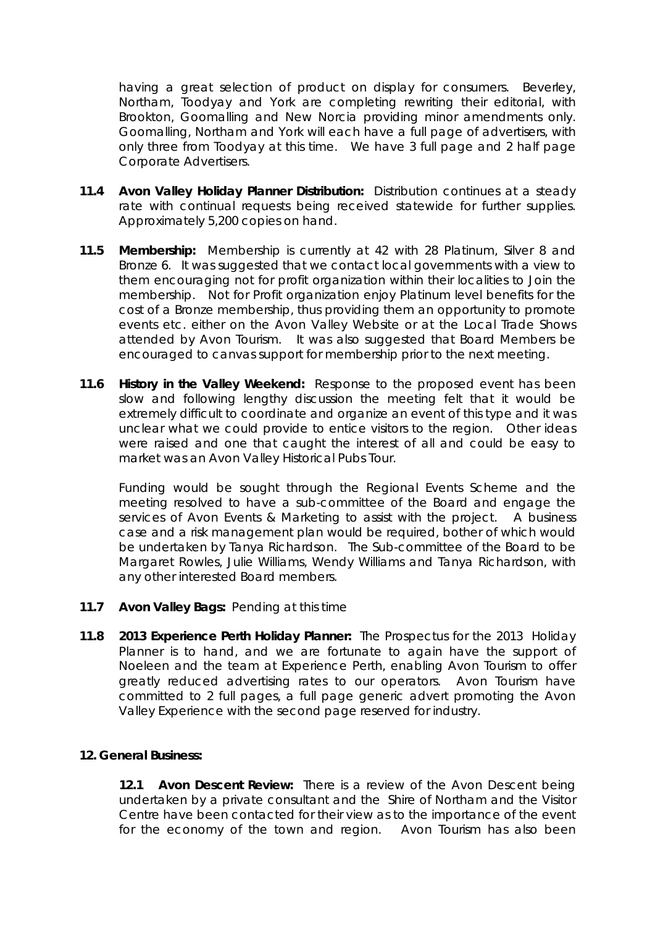having a great selection of product on display for consumers. Beverley, Northam, Toodyay and York are completing rewriting their editorial, with Brookton, Goomalling and New Norcia providing minor amendments only. Goomalling, Northam and York will each have a full page of advertisers, with only three from Toodyay at this time. We have 3 full page and 2 half page Corporate Advertisers.

- **11.4 Avon Valley Holiday Planner Distribution:** Distribution continues at a steady rate with continual requests being received statewide for further supplies. Approximately 5,200 copies on hand.
- **11.5 Membership:** Membership is currently at 42 with 28 Platinum, Silver 8 and Bronze 6. It was suggested that we contact local governments with a view to them encouraging not for profit organization within their localities to Join the membership. Not for Profit organization enjoy Platinum level benefits for the cost of a Bronze membership, thus providing them an opportunity to promote events etc. either on the Avon Valley Website or at the Local Trade Shows attended by Avon Tourism. It was also suggested that Board Members be encouraged to canvas support for membership prior to the next meeting.
- **11.6 History in the Valley Weekend:** Response to the proposed event has been slow and following lengthy discussion the meeting felt that it would be extremely difficult to coordinate and organize an event of this type and it was unclear what we could provide to entice visitors to the region. Other ideas were raised and one that caught the interest of all and could be easy to market was an Avon Valley Historical Pubs Tour.

Funding would be sought through the Regional Events Scheme and the meeting resolved to have a sub-committee of the Board and engage the services of Avon Events & Marketing to assist with the project. A business case and a risk management plan would be required, bother of which would be undertaken by Tanya Richardson. The Sub-committee of the Board to be Margaret Rowles, Julie Williams, Wendy Williams and Tanya Richardson, with any other interested Board members.

- **11.7 Avon Valley Bags:** Pending at this time
- **11.8 2013 Experience Perth Holiday Planner:** The Prospectus for the 2013 Holiday Planner is to hand, and we are fortunate to again have the support of Noeleen and the team at Experience Perth, enabling Avon Tourism to offer greatly reduced advertising rates to our operators. Avon Tourism have committed to 2 full pages, a full page generic advert promoting the Avon Valley Experience with the second page reserved for industry.

## **12. General Business:**

**12.1 Avon Descent Review:** There is a review of the Avon Descent being undertaken by a private consultant and the Shire of Northam and the Visitor Centre have been contacted for their view as to the importance of the event for the economy of the town and region. Avon Tourism has also been